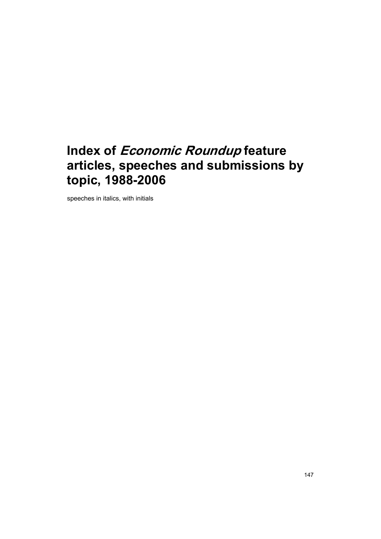# **Index of Economic Roundup feature articles, speeches and submissions by topic, 1988-2006**

speeches in italics, with initials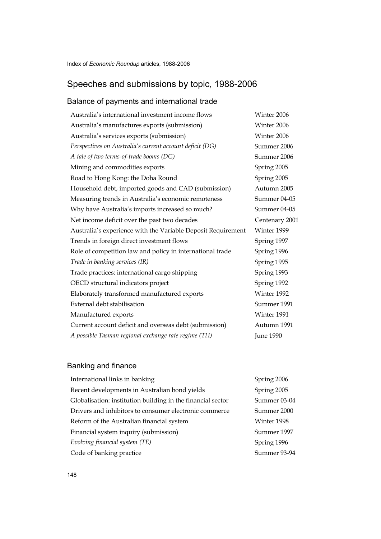#### Speeches and submissions by topic, 1988-2006

#### Balance of payments and international trade

Australia's international investment income flows Winter 2006 Australia's manufactures exports (submission) Winter 2006 Australia's services exports (submission) Winter 2006 *Perspectives on Australia's current account deficit (DG)* Summer 2006 *A tale of two terms-of-trade booms (DG)* Summer 2006 Mining and commodities exports Spring 2005 Road to Hong Kong: the Doha Round Spring 2005 Household debt, imported goods and CAD (submission) Autumn 2005 Measuring trends in Australia's economic remoteness Summer 04-05 Why have Australia's imports increased so much? Summer 04-05 Net income deficit over the past two decades Centenary 2001 Australia's experience with the Variable Deposit Requirement Winter 1999 Trends in foreign direct investment flows Spring 1997 Role of competition law and policy in international trade Spring 1996 *Trade in banking services (IR)* Spring 1995 Trade practices: international cargo shipping Spring 1993 OECD structural indicators project Spring 1992 Elaborately transformed manufactured exports Winter 1992 External debt stabilisation Summer 1991 Manufactured exports Winter 1991 Current account deficit and overseas debt (submission) Autumn 1991 *A possible Tasman regional exchange rate regime (TH)* June 1990

#### Banking and finance

International links in banking Spring 2006 Recent developments in Australian bond yields Spring 2005 Globalisation: institution building in the financial sector Summer 03-04 Drivers and inhibitors to consumer electronic commerce Summer 2000 Reform of the Australian financial system Winter 1998 Financial system inquiry (submission) Summer 1997 *Evolving financial system (TE)* Spring 1996 Code of banking practice Summer 93-94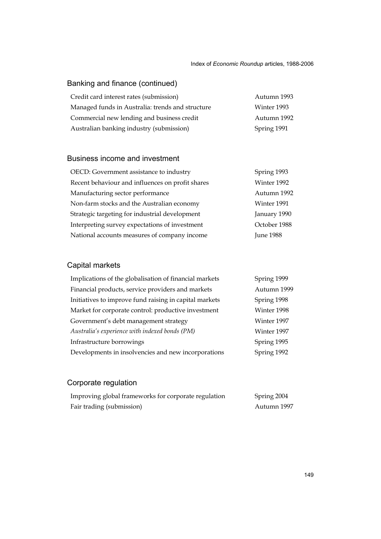### Banking and finance (continued)

| Credit card interest rates (submission)          | Autumn 1993 |
|--------------------------------------------------|-------------|
| Managed funds in Australia: trends and structure | Winter 1993 |
| Commercial new lending and business credit       | Autumn 1992 |
| Australian banking industry (submission)         | Spring 1991 |

#### Business income and investment

| OECD: Government assistance to industry          | Spring 1993      |
|--------------------------------------------------|------------------|
| Recent behaviour and influences on profit shares | Winter 1992      |
| Manufacturing sector performance                 | Autumn 1992      |
| Non-farm stocks and the Australian economy       | Winter 1991      |
| Strategic targeting for industrial development   | January 1990     |
| Interpreting survey expectations of investment   | October 1988     |
| National accounts measures of company income     | <b>June 1988</b> |

### Capital markets

| Implications of the globalisation of financial markets | Spring 1999 |
|--------------------------------------------------------|-------------|
| Financial products, service providers and markets      | Autumn 1999 |
| Initiatives to improve fund raising in capital markets | Spring 1998 |
| Market for corporate control: productive investment    | Winter 1998 |
| Government's debt management strategy                  | Winter 1997 |
| Australia's experience with indexed bonds (PM)         | Winter 1997 |
| Infrastructure borrowings                              | Spring 1995 |
| Developments in insolvencies and new incorporations    | Spring 1992 |
|                                                        |             |

## Corporate regulation

| Improving global frameworks for corporate regulation | Spring 2004 |
|------------------------------------------------------|-------------|
| Fair trading (submission)                            | Autumn 1997 |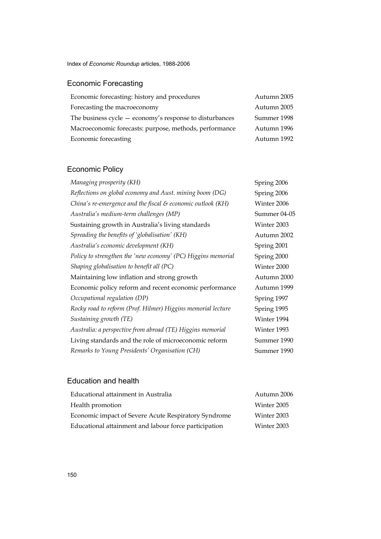Index of *Economic Roundup* articles, 1988-2006

## Economic Forecasting

| Economic forecasting: history and procedures              | Autumn 2005 |
|-----------------------------------------------------------|-------------|
| Forecasting the macroeconomy                              | Autumn 2005 |
| The business cycle $-$ economy's response to disturbances | Summer 1998 |
| Macroeconomic forecasts: purpose, methods, performance    | Autumn 1996 |
| Economic forecasting                                      | Autumn 1992 |

## Economic Policy

| Managing prosperity (KH)                                     | Spring 2006  |
|--------------------------------------------------------------|--------------|
| Reflections on global economy and Aust. mining boom (DG)     | Spring 2006  |
| China's re-emergence and the fiscal & economic outlook (KH)  | Winter 2006  |
| Australia's medium-term challenges (MP)                      | Summer 04-05 |
| Sustaining growth in Australia's living standards            | Winter 2003  |
| Spreading the benefits of 'globalisation' (KH)               | Autumn 2002  |
| Australia's economic development (KH)                        | Spring 2001  |
| Policy to strengthen the 'new economy' (PC) Higgins memorial | Spring 2000  |
| Shaping globalisation to benefit all (PC)                    | Winter 2000  |
| Maintaining low inflation and strong growth                  | Autumn 2000  |
| Economic policy reform and recent economic performance       | Autumn 1999  |
| Occupational regulation (DP)                                 | Spring 1997  |
| Rocky road to reform (Prof. Hilmer) Higgins memorial lecture | Spring 1995  |
| Sustaining growth (TE)                                       | Winter 1994  |
| Australia: a perspective from abroad (TE) Higgins memorial   | Winter 1993  |
| Living standards and the role of microeconomic reform        | Summer 1990  |
| Remarks to Young Presidents' Organisation (CH)               | Summer 1990  |

#### Education and health

| Educational attainment in Australia                   | Autumn 2006 |
|-------------------------------------------------------|-------------|
| Health promotion                                      | Winter 2005 |
| Economic impact of Severe Acute Respiratory Syndrome  | Winter 2003 |
| Educational attainment and labour force participation | Winter 2003 |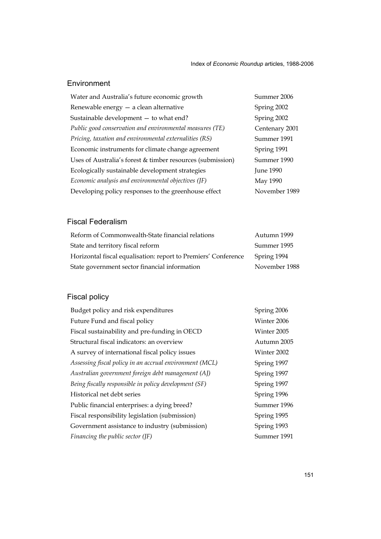#### Environment

| Water and Australia's future economic growth               | Summer 2006      |
|------------------------------------------------------------|------------------|
| Renewable energy - a clean alternative                     | Spring 2002      |
| Sustainable development - to what end?                     | Spring 2002      |
| Public good conservation and environmental measures (TE)   | Centenary 2001   |
| Pricing, taxation and environmental externalities (RS)     | Summer 1991      |
| Economic instruments for climate change agreement          | Spring 1991      |
| Uses of Australia's forest & timber resources (submission) | Summer 1990      |
| Ecologically sustainable development strategies            | <b>June 1990</b> |
| Economic analysis and environmental objectives (JF)        | May 1990         |
| Developing policy responses to the greenhouse effect       | November 1989    |

#### Fiscal Federalism

| Reform of Commonwealth-State financial relations               | Autumn 1999   |
|----------------------------------------------------------------|---------------|
| State and territory fiscal reform                              | Summer 1995   |
| Horizontal fiscal equalisation: report to Premiers' Conference | Spring 1994   |
| State government sector financial information                  | November 1988 |

### Fiscal policy

| Budget policy and risk expenditures                     | Spring 2006 |
|---------------------------------------------------------|-------------|
| Future Fund and fiscal policy                           | Winter 2006 |
| Fiscal sustainability and pre-funding in OECD           | Winter 2005 |
| Structural fiscal indicators: an overview               | Autumn 2005 |
| A survey of international fiscal policy issues          | Winter 2002 |
| Assessing fiscal policy in an accrual environment (MCL) | Spring 1997 |
| Australian government foreign debt management (AJ)      | Spring 1997 |
| Being fiscally responsible in policy development (SF)   | Spring 1997 |
| Historical net debt series                              | Spring 1996 |
| Public financial enterprises: a dying breed?            | Summer 1996 |
| Fiscal responsibility legislation (submission)          | Spring 1995 |
| Government assistance to industry (submission)          | Spring 1993 |
| Financing the public sector (JF)                        | Summer 1991 |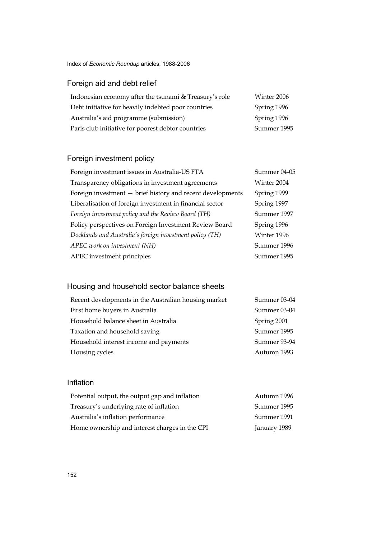Index of *Economic Roundup* articles, 1988-2006

### Foreign aid and debt relief

| Indonesian economy after the tsunami & Treasury's role | Winter 2006 |
|--------------------------------------------------------|-------------|
| Debt initiative for heavily indebted poor countries    | Spring 1996 |
| Australia's aid programme (submission)                 | Spring 1996 |
| Paris club initiative for poorest debtor countries     | Summer 1995 |

### Foreign investment policy

| Foreign investment issues in Australia-US FTA              | Summer 04-05 |
|------------------------------------------------------------|--------------|
| Transparency obligations in investment agreements          | Winter 2004  |
| Foreign investment - brief history and recent developments | Spring 1999  |
| Liberalisation of foreign investment in financial sector   | Spring 1997  |
| Foreign investment policy and the Review Board (TH)        | Summer 1997  |
| Policy perspectives on Foreign Investment Review Board     | Spring 1996  |
| Docklands and Australia's foreign investment policy (TH)   | Winter 1996  |
| APEC work on investment (NH)                               | Summer 1996  |
| APEC investment principles                                 | Summer 1995  |
|                                                            |              |

### Housing and household sector balance sheets

| Recent developments in the Australian housing market | Summer 03-04 |
|------------------------------------------------------|--------------|
| First home buyers in Australia                       | Summer 03-04 |
| Household balance sheet in Australia                 | Spring 2001  |
| Taxation and household saving                        | Summer 1995  |
| Household interest income and payments               | Summer 93-94 |
| Housing cycles                                       | Autumn 1993  |

#### Inflation

| Potential output, the output gap and inflation | Autumn 1996  |
|------------------------------------------------|--------------|
| Treasury's underlying rate of inflation        | Summer 1995  |
| Australia's inflation performance              | Summer 1991  |
| Home ownership and interest charges in the CPI | January 1989 |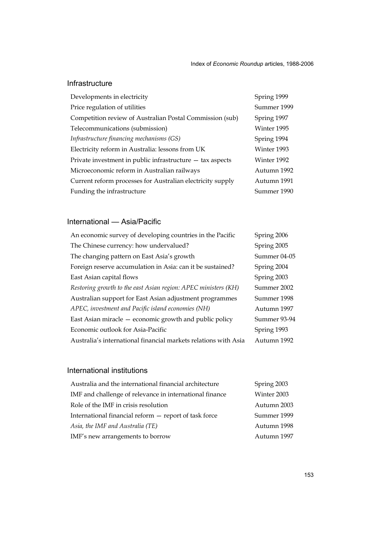#### Infrastructure

| Developments in electricity                                 | Spring 1999 |
|-------------------------------------------------------------|-------------|
| Price regulation of utilities                               | Summer 1999 |
| Competition review of Australian Postal Commission (sub)    | Spring 1997 |
| Telecommunications (submission)                             | Winter 1995 |
| Infrastructure financing mechanisms (GS)                    | Spring 1994 |
| Electricity reform in Australia: lessons from UK            | Winter 1993 |
| Private investment in public infrastructure $-$ tax aspects | Winter 1992 |
| Microeconomic reform in Australian railways                 | Autumn 1992 |
| Current reform processes for Australian electricity supply  | Autumn 1991 |
| Funding the infrastructure                                  | Summer 1990 |

#### International — Asia/Pacific

| An economic survey of developing countries in the Pacific       | Spring 2006  |
|-----------------------------------------------------------------|--------------|
| The Chinese currency: how undervalued?                          | Spring 2005  |
| The changing pattern on East Asia's growth                      | Summer 04-05 |
| Foreign reserve accumulation in Asia: can it be sustained?      | Spring 2004  |
| East Asian capital flows                                        | Spring 2003  |
| Restoring growth to the east Asian region: APEC ministers (KH)  | Summer 2002  |
| Australian support for East Asian adjustment programmes         | Summer 1998  |
| APEC, investment and Pacific island economies (NH)              | Autumn 1997  |
| East Asian miracle – economic growth and public policy          | Summer 93-94 |
| Economic outlook for Asia-Pacific                               | Spring 1993  |
| Australia's international financial markets relations with Asia | Autumn 1992  |

#### International institutions

| Australia and the international financial architecture  | Spring 2003 |
|---------------------------------------------------------|-------------|
| IMF and challenge of relevance in international finance | Winter 2003 |
| Role of the IMF in crisis resolution                    | Autumn 2003 |
| International financial reform - report of task force   | Summer 1999 |
| Asia, the IMF and Australia (TE)                        | Autumn 1998 |
| IMF's new arrangements to borrow                        | Autumn 1997 |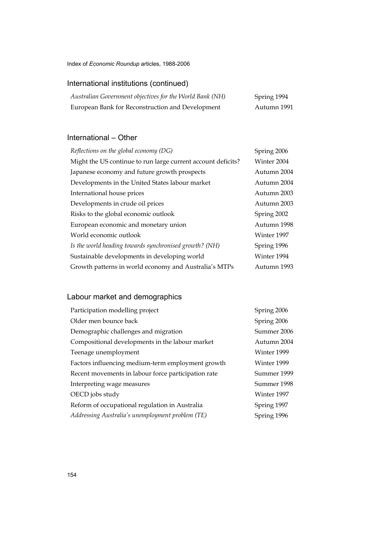Index of *Economic Roundup* articles, 1988-2006

### International institutions (continued)

| Australian Government objectives for the World Bank (NH) | Spring 1994 |
|----------------------------------------------------------|-------------|
| European Bank for Reconstruction and Development         | Autumn 1991 |

#### International – Other

| Reflections on the global economy (DG)                       | Spring 2006 |
|--------------------------------------------------------------|-------------|
| Might the US continue to run large current account deficits? | Winter 2004 |
| Japanese economy and future growth prospects                 | Autumn 2004 |
| Developments in the United States labour market              | Autumn 2004 |
| International house prices                                   | Autumn 2003 |
| Developments in crude oil prices                             | Autumn 2003 |
| Risks to the global economic outlook                         | Spring 2002 |
| European economic and monetary union                         | Autumn 1998 |
| World economic outlook                                       | Winter 1997 |
| Is the world heading towards synchronised growth? (NH)       | Spring 1996 |
| Sustainable developments in developing world                 | Winter 1994 |
| Growth patterns in world economy and Australia's MTPs        | Autumn 1993 |

### Labour market and demographics

| Participation modelling project                     | Spring 2006 |
|-----------------------------------------------------|-------------|
| Older men bounce back                               | Spring 2006 |
| Demographic challenges and migration                | Summer 2006 |
| Compositional developments in the labour market     | Autumn 2004 |
| Teenage unemployment                                | Winter 1999 |
| Factors influencing medium-term employment growth   | Winter 1999 |
| Recent movements in labour force participation rate | Summer 1999 |
| Interpreting wage measures                          | Summer 1998 |
| OECD jobs study                                     | Winter 1997 |
| Reform of occupational regulation in Australia      | Spring 1997 |
| Addressing Australia's unemployment problem (TE)    | Spring 1996 |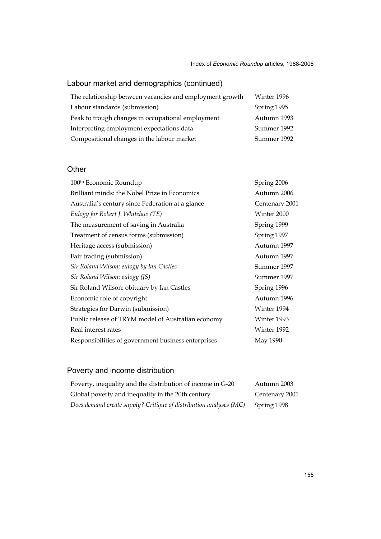### Labour market and demographics (continued)

| The relationship between vacancies and employment growth | Winter 1996 |
|----------------------------------------------------------|-------------|
| Labour standards (submission)                            | Spring 1995 |
| Peak to trough changes in occupational employment        | Autumn 1993 |
| Interpreting employment expectations data                | Summer 1992 |
| Compositional changes in the labour market               | Summer 1992 |

#### **Other**

| 100 <sup>th</sup> Economic Roundup                  | Spring 2006    |
|-----------------------------------------------------|----------------|
| Brilliant minds: the Nobel Prize in Economics       | Autumn 2006    |
| Australia's century since Federation at a glance    | Centenary 2001 |
| Eulogy for Robert J. Whitelaw (TE)                  | Winter 2000    |
| The measurement of saving in Australia              | Spring 1999    |
| Treatment of census forms (submission)              | Spring 1997    |
| Heritage access (submission)                        | Autumn 1997    |
| Fair trading (submission)                           | Autumn 1997    |
| Sir Roland Wilson: eulogy by Ian Castles            | Summer 1997    |
| Sir Roland Wilson: eulogy (JS)                      | Summer 1997    |
| Sir Roland Wilson: obituary by Ian Castles          | Spring 1996    |
| Economic role of copyright                          | Autumn 1996    |
| Strategies for Darwin (submission)                  | Winter 1994    |
| Public release of TRYM model of Australian economy  | Winter 1993    |
| Real interest rates                                 | Winter 1992    |
| Responsibilities of government business enterprises | May 1990       |

## Poverty and income distribution

| Poverty, inequality and the distribution of income in G-20        | Autumn 2003    |
|-------------------------------------------------------------------|----------------|
| Global poverty and inequality in the 20th century                 | Centenary 2001 |
| Does demand create supply? Critique of distribution analyses (MC) | Spring 1998    |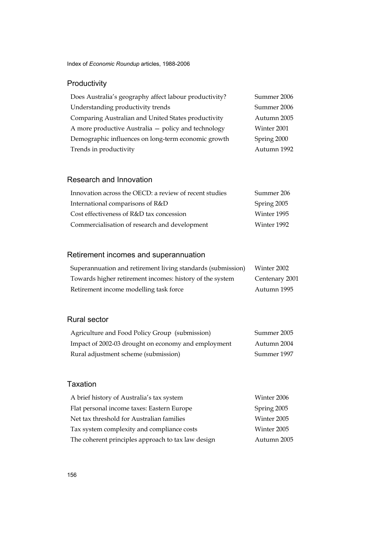### Productivity

| Does Australia's geography affect labour productivity? | Summer 2006 |
|--------------------------------------------------------|-------------|
| Understanding productivity trends                      | Summer 2006 |
| Comparing Australian and United States productivity    | Autumn 2005 |
| A more productive Australia - policy and technology    | Winter 2001 |
| Demographic influences on long-term economic growth    | Spring 2000 |
| Trends in productivity                                 | Autumn 1992 |

#### Research and Innovation

| Innovation across the OECD: a review of recent studies | Summer 206  |
|--------------------------------------------------------|-------------|
| International comparisons of R&D                       | Spring 2005 |
| Cost effectiveness of R&D tax concession               | Winter 1995 |
| Commercialisation of research and development          | Winter 1992 |

#### Retirement incomes and superannuation

| Superannuation and retirement living standards (submission) | Winter 2002    |
|-------------------------------------------------------------|----------------|
| Towards higher retirement incomes: history of the system    | Centenary 2001 |
| Retirement income modelling task force                      | Autumn 1995    |

#### Rural sector

| Agriculture and Food Policy Group (submission)      | Summer 2005 |
|-----------------------------------------------------|-------------|
| Impact of 2002-03 drought on economy and employment | Autumn 2004 |
| Rural adjustment scheme (submission)                | Summer 1997 |

#### Taxation

| A brief history of Australia's tax system          | Winter 2006 |
|----------------------------------------------------|-------------|
| Flat personal income taxes: Eastern Europe         | Spring 2005 |
| Net tax threshold for Australian families          | Winter 2005 |
| Tax system complexity and compliance costs         | Winter 2005 |
| The coherent principles approach to tax law design | Autumn 2005 |